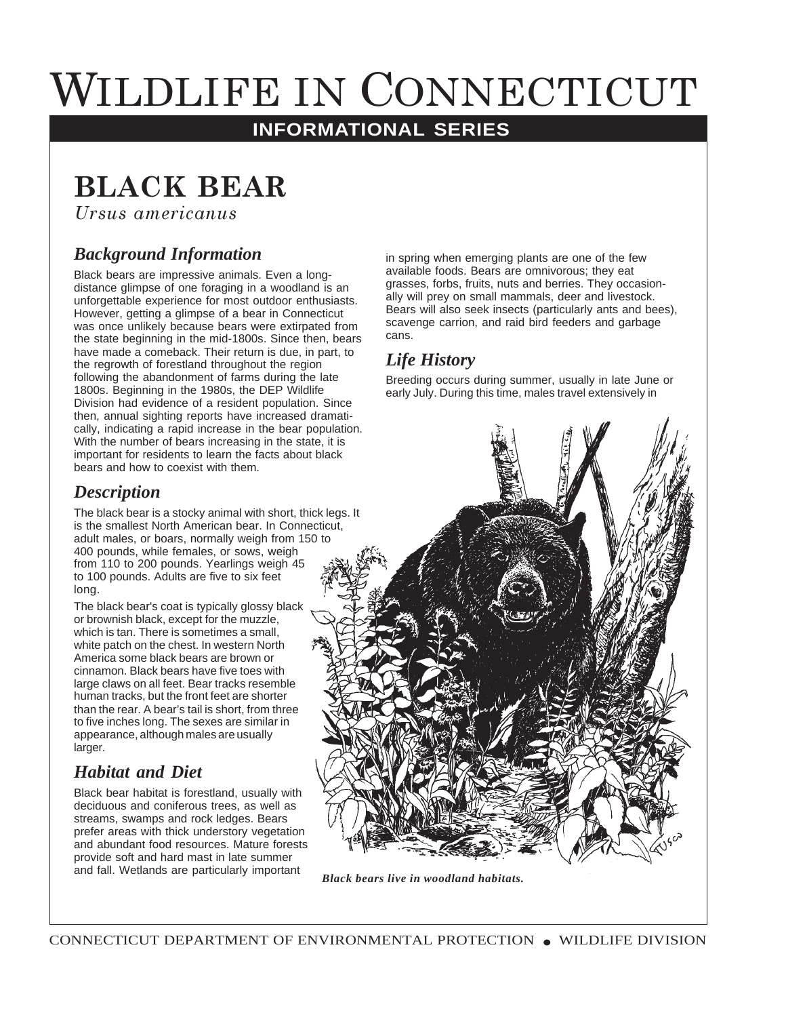# WILDLIFE IN CONNECTICUT

## **INFORMATIONAL SERIES**

# **BLACK BEAR**

*<u>Ursus americanus</u>* 

### *Background Information*

Black bears are impressive animals. Even a longdistance glimpse of one foraging in a woodland is an unforgettable experience for most outdoor enthusiasts. However, getting a glimpse of a bear in Connecticut was once unlikely because bears were extirpated from the state beginning in the mid-1800s. Since then, bears have made a comeback. Their return is due, in part, to the regrowth of forestland throughout the region following the abandonment of farms during the late 1800s. Beginning in the 1980s, the DEP Wildlife Division had evidence of a resident population. Since then, annual sighting reports have increased dramatically, indicating a rapid increase in the bear population. With the number of bears increasing in the state, it is important for residents to learn the facts about black bears and how to coexist with them.

#### *Description*

The black bear is a stocky animal with short, thick legs. It is the smallest North American bear. In Connecticut, adult males, or boars, normally weigh from 150 to 400 pounds, while females, or sows, weigh from 110 to 200 pounds. Yearlings weigh 45 to 100 pounds. Adults are five to six feet long.

The black bear's coat is typically glossy black or brownish black, except for the muzzle, which is tan. There is sometimes a small, white patch on the chest. In western North America some black bears are brown or cinnamon. Black bears have five toes with large claws on all feet. Bear tracks resemble human tracks, but the front feet are shorter than the rear. A bear's tail is short, from three to five inches long. The sexes are similar in appearance, although males are usually larger.

# *Habitat and Diet*

Black bear habitat is forestland, usually with deciduous and coniferous trees, as well as streams, swamps and rock ledges. Bears prefer areas with thick understory vegetation and abundant food resources. Mature forests provide soft and hard mast in late summer and fall. Wetlands are particularly important

in spring when emerging plants are one of the few available foods. Bears are omnivorous; they eat grasses, forbs, fruits, nuts and berries. They occasionally will prey on small mammals, deer and livestock. Bears will also seek insects (particularly ants and bees), scavenge carrion, and raid bird feeders and garbage cans.

### *Life History*

Breeding occurs during summer, usually in late June or early July. During this time, males travel extensively in



*Black bears live in woodland habitats.*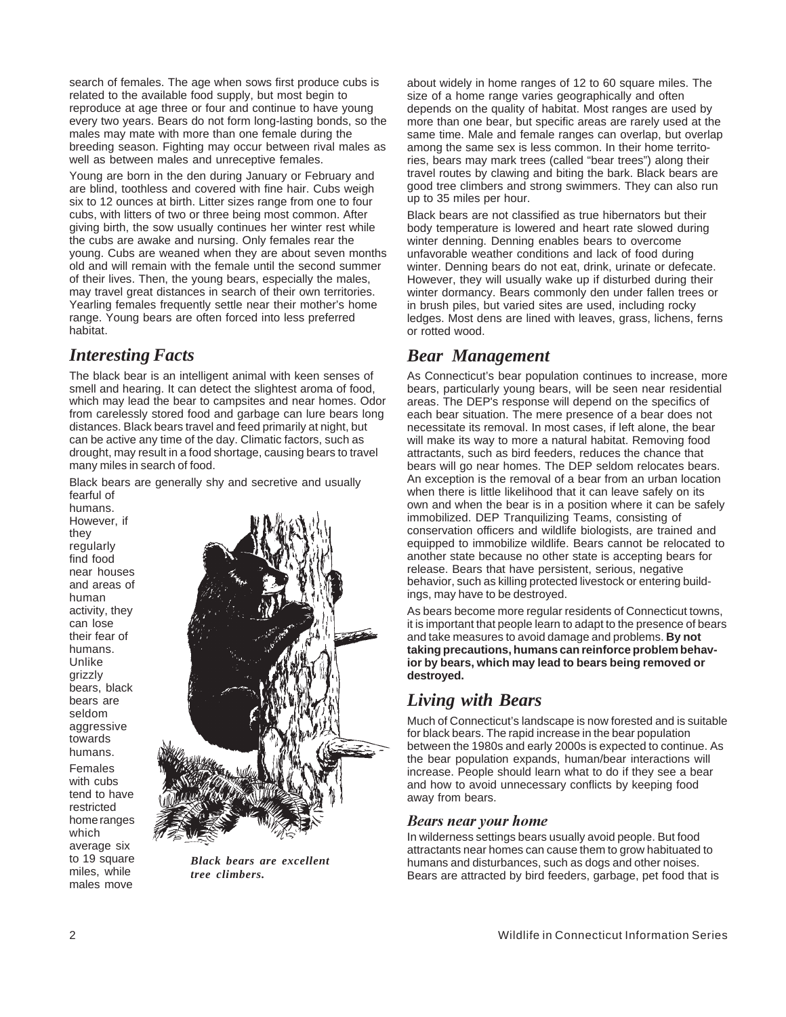search of females. The age when sows first produce cubs is related to the available food supply, but most begin to reproduce at age three or four and continue to have young every two years. Bears do not form long-lasting bonds, so the males may mate with more than one female during the breeding season. Fighting may occur between rival males as well as between males and unreceptive females.

Young are born in the den during January or February and are blind, toothless and covered with fine hair. Cubs weigh six to 12 ounces at birth. Litter sizes range from one to four cubs, with litters of two or three being most common. After giving birth, the sow usually continues her winter rest while the cubs are awake and nursing. Only females rear the young. Cubs are weaned when they are about seven months old and will remain with the female until the second summer of their lives. Then, the young bears, especially the males, may travel great distances in search of their own territories. Yearling females frequently settle near their mother's home range. Young bears are often forced into less preferred habitat.

#### *Interesting Facts*

The black bear is an intelligent animal with keen senses of smell and hearing. It can detect the slightest aroma of food, which may lead the bear to campsites and near homes. Odor from carelessly stored food and garbage can lure bears long distances. Black bears travel and feed primarily at night, but can be active any time of the day. Climatic factors, such as drought, may result in a food shortage, causing bears to travel many miles in search of food.

Black bears are generally shy and secretive and usually fearful of

humans. However, if they regularly find food near houses and areas of human activity, they can lose their fear of humans. Unlike grizzly bears, black bears are seldom aggressive towards humans. Females with cubs tend to have

restricted home ranges which average six to 19 square miles, while males move



*Black bears are excellent tree climbers.*

about widely in home ranges of 12 to 60 square miles. The size of a home range varies geographically and often depends on the quality of habitat. Most ranges are used by more than one bear, but specific areas are rarely used at the same time. Male and female ranges can overlap, but overlap among the same sex is less common. In their home territories, bears may mark trees (called "bear trees") along their travel routes by clawing and biting the bark. Black bears are good tree climbers and strong swimmers. They can also run up to 35 miles per hour.

Black bears are not classified as true hibernators but their body temperature is lowered and heart rate slowed during winter denning. Denning enables bears to overcome unfavorable weather conditions and lack of food during winter. Denning bears do not eat, drink, urinate or defecate. However, they will usually wake up if disturbed during their winter dormancy. Bears commonly den under fallen trees or in brush piles, but varied sites are used, including rocky ledges. Most dens are lined with leaves, grass, lichens, ferns or rotted wood.

#### *Bear Management*

As Connecticut's bear population continues to increase, more bears, particularly young bears, will be seen near residential areas. The DEP's response will depend on the specifics of each bear situation. The mere presence of a bear does not necessitate its removal. In most cases, if left alone, the bear will make its way to more a natural habitat. Removing food attractants, such as bird feeders, reduces the chance that bears will go near homes. The DEP seldom relocates bears. An exception is the removal of a bear from an urban location when there is little likelihood that it can leave safely on its own and when the bear is in a position where it can be safely immobilized. DEP Tranquilizing Teams, consisting of conservation officers and wildlife biologists, are trained and equipped to immobilize wildlife. Bears cannot be relocated to another state because no other state is accepting bears for release. Bears that have persistent, serious, negative behavior, such as killing protected livestock or entering buildings, may have to be destroyed.

As bears become more regular residents of Connecticut towns, it is important that people learn to adapt to the presence of bears and take measures to avoid damage and problems. **By not taking precautions, humans can reinforce problem behavior by bears, which may lead to bears being removed or destroyed.**

#### *Living with Bears*

Much of Connecticut's landscape is now forested and is suitable for black bears. The rapid increase in the bear population between the 1980s and early 2000s is expected to continue. As the bear population expands, human/bear interactions will increase. People should learn what to do if they see a bear and how to avoid unnecessary conflicts by keeping food away from bears.

#### *Bears near your home*

In wilderness settings bears usually avoid people. But food attractants near homes can cause them to grow habituated to humans and disturbances, such as dogs and other noises. Bears are attracted by bird feeders, garbage, pet food that is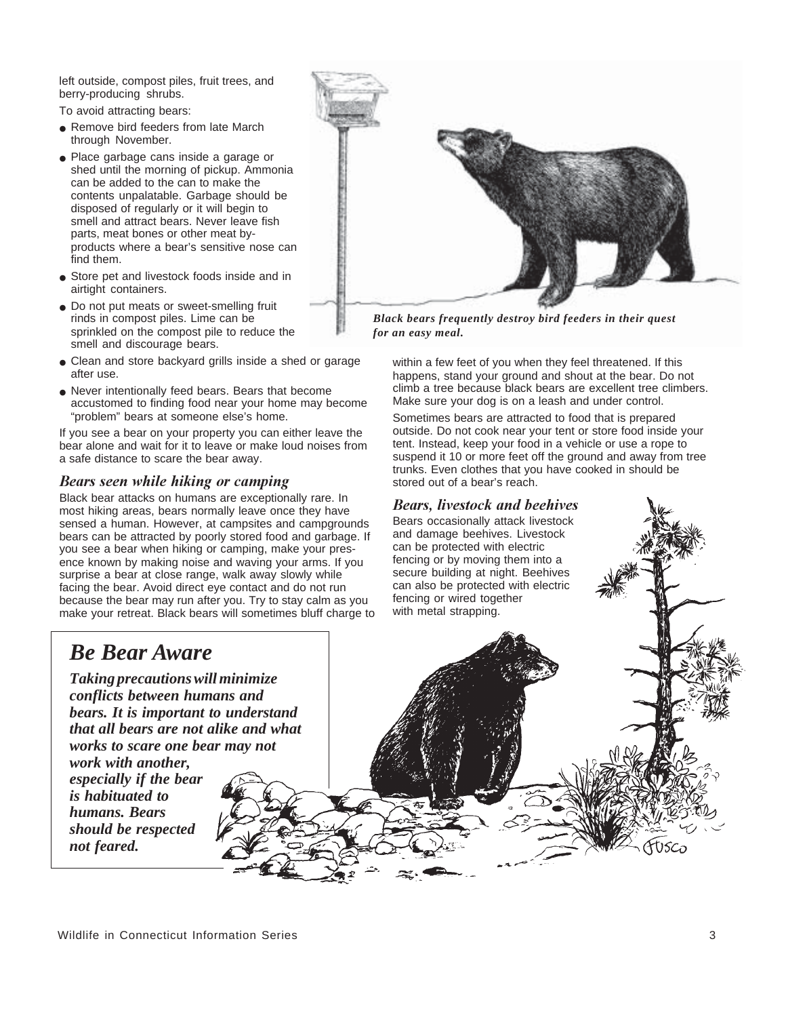left outside, compost piles, fruit trees, and berry-producing shrubs.

To avoid attracting bears:

- Remove bird feeders from late March through November.
- Place garbage cans inside a garage or shed until the morning of pickup. Ammonia can be added to the can to make the contents unpalatable. Garbage should be disposed of regularly or it will begin to smell and attract bears. Never leave fish parts, meat bones or other meat byproducts where a bear's sensitive nose can find them.
- Store pet and livestock foods inside and in airtight containers.
- Do not put meats or sweet-smelling fruit rinds in compost piles. Lime can be sprinkled on the compost pile to reduce the smell and discourage bears.
- Clean and store backyard grills inside a shed or garage after use.
- Never intentionally feed bears. Bears that become accustomed to finding food near your home may become "problem" bears at someone else's home.

If you see a bear on your property you can either leave the bear alone and wait for it to leave or make loud noises from a safe distance to scare the bear away.

#### Bears seen while hiking or camping

Black bear attacks on humans are exceptionally rare. In most hiking areas, bears normally leave once they have sensed a human. However, at campsites and campgrounds bears can be attracted by poorly stored food and garbage. If you see a bear when hiking or camping, make your presence known by making noise and waving your arms. If you surprise a bear at close range, walk away slowly while facing the bear. Avoid direct eye contact and do not run because the bear may run after you. Try to stay calm as you make your retreat. Black bears will sometimes bluff charge to



*Black bears frequently destroy bird feeders in their quest for an easy meal.*

within a few feet of you when they feel threatened. If this happens, stand your ground and shout at the bear. Do not climb a tree because black bears are excellent tree climbers. Make sure your dog is on a leash and under control.

Sometimes bears are attracted to food that is prepared outside. Do not cook near your tent or store food inside your tent. Instead, keep your food in a vehicle or use a rope to suspend it 10 or more feet off the ground and away from tree trunks. Even clothes that you have cooked in should be stored out of a bear's reach.

#### *Bears, livestock and beehives*

Bears occasionally attack livestock and damage beehives. Livestock can be protected with electric fencing or by moving them into a secure building at night. Beehives can also be protected with electric fencing or wired together with metal strapping.

# *Be Bear Aware*

*Taking precautions will minimize conflicts between humans and bears. It is important to understand that all bears are not alike and what works to scare one bear may not*

*work with another, especially if the bear is habituated to humans. Bears should be respected not feared.*